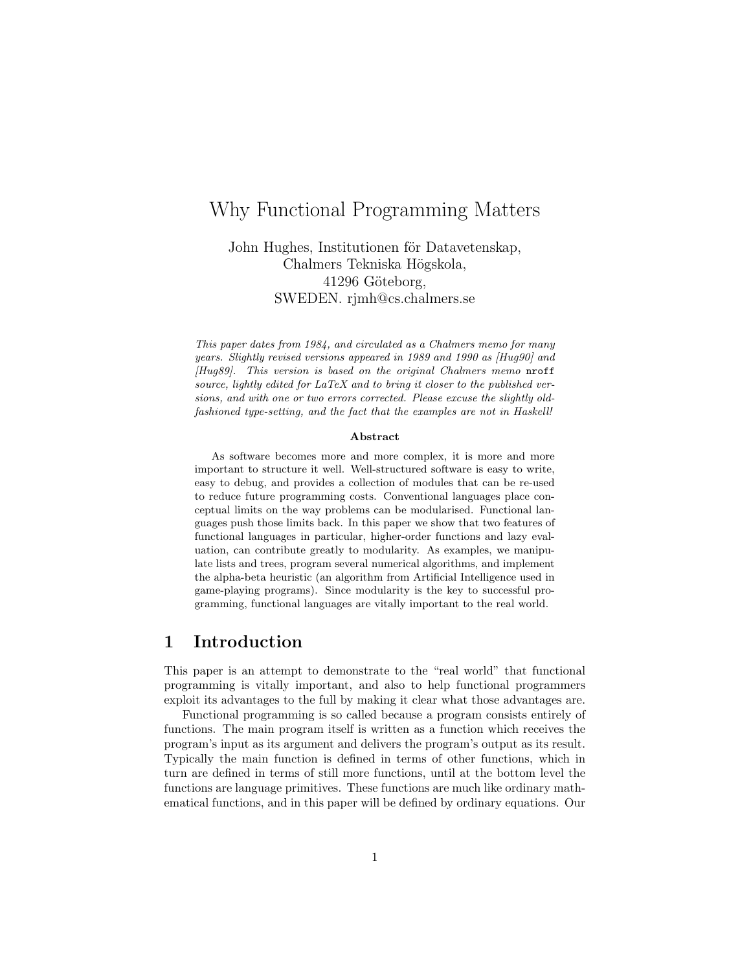# Why Functional Programming Matters

John Hughes, Institutionen för Datavetenskap, Chalmers Tekniska Högskola, 41296 Göteborg, SWEDEN. rjmh@cs.chalmers.se

This paper dates from 1984, and circulated as a Chalmers memo for many years. Slightly revised versions appeared in 1989 and 1990 as [Hug90] and [Hug89]. This version is based on the original Chalmers memo nroff source, lightly edited for LaTeX and to bring it closer to the published versions, and with one or two errors corrected. Please excuse the slightly oldfashioned type-setting, and the fact that the examples are not in Haskell!

### Abstract

As software becomes more and more complex, it is more and more important to structure it well. Well-structured software is easy to write, easy to debug, and provides a collection of modules that can be re-used to reduce future programming costs. Conventional languages place conceptual limits on the way problems can be modularised. Functional languages push those limits back. In this paper we show that two features of functional languages in particular, higher-order functions and lazy evaluation, can contribute greatly to modularity. As examples, we manipulate lists and trees, program several numerical algorithms, and implement the alpha-beta heuristic (an algorithm from Artificial Intelligence used in game-playing programs). Since modularity is the key to successful programming, functional languages are vitally important to the real world.

## 1 Introduction

This paper is an attempt to demonstrate to the "real world" that functional programming is vitally important, and also to help functional programmers exploit its advantages to the full by making it clear what those advantages are.

Functional programming is so called because a program consists entirely of functions. The main program itself is written as a function which receives the program's input as its argument and delivers the program's output as its result. Typically the main function is defined in terms of other functions, which in turn are defined in terms of still more functions, until at the bottom level the functions are language primitives. These functions are much like ordinary mathematical functions, and in this paper will be defined by ordinary equations. Our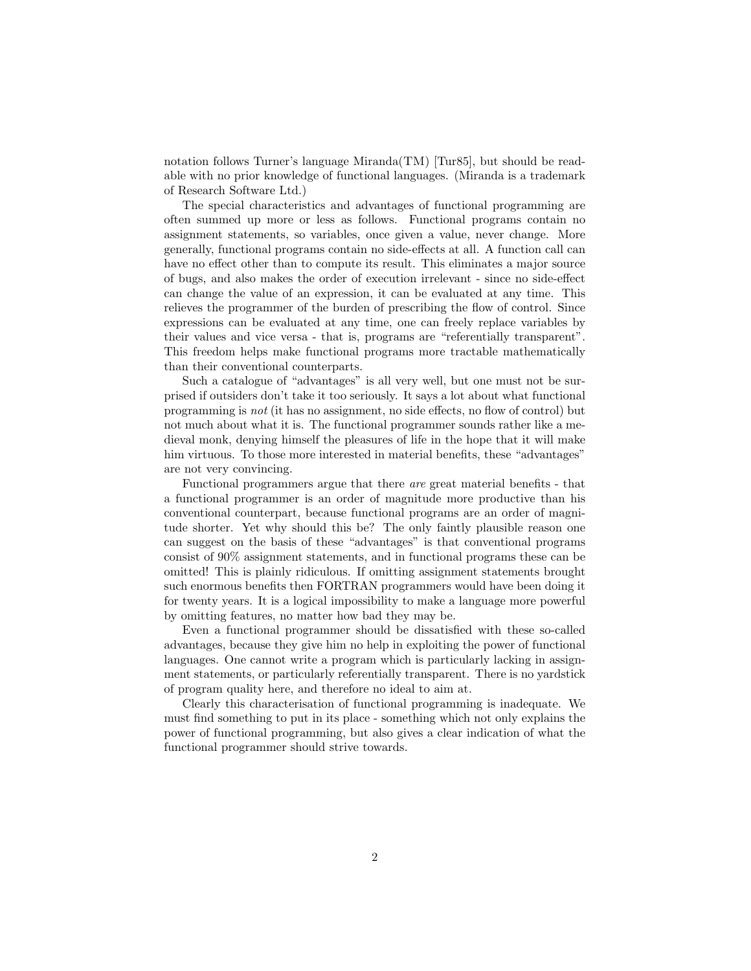notation follows Turner's language Miranda(TM) [Tur85], but should be readable with no prior knowledge of functional languages. (Miranda is a trademark of Research Software Ltd.)

The special characteristics and advantages of functional programming are often summed up more or less as follows. Functional programs contain no assignment statements, so variables, once given a value, never change. More generally, functional programs contain no side-effects at all. A function call can have no effect other than to compute its result. This eliminates a major source of bugs, and also makes the order of execution irrelevant - since no side-effect can change the value of an expression, it can be evaluated at any time. This relieves the programmer of the burden of prescribing the flow of control. Since expressions can be evaluated at any time, one can freely replace variables by their values and vice versa - that is, programs are "referentially transparent". This freedom helps make functional programs more tractable mathematically than their conventional counterparts.

Such a catalogue of "advantages" is all very well, but one must not be surprised if outsiders don't take it too seriously. It says a lot about what functional programming is not (it has no assignment, no side effects, no flow of control) but not much about what it is. The functional programmer sounds rather like a medieval monk, denying himself the pleasures of life in the hope that it will make him virtuous. To those more interested in material benefits, these "advantages" are not very convincing.

Functional programmers argue that there are great material benefits - that a functional programmer is an order of magnitude more productive than his conventional counterpart, because functional programs are an order of magnitude shorter. Yet why should this be? The only faintly plausible reason one can suggest on the basis of these "advantages" is that conventional programs consist of 90% assignment statements, and in functional programs these can be omitted! This is plainly ridiculous. If omitting assignment statements brought such enormous benefits then FORTRAN programmers would have been doing it for twenty years. It is a logical impossibility to make a language more powerful by omitting features, no matter how bad they may be.

Even a functional programmer should be dissatisfied with these so-called advantages, because they give him no help in exploiting the power of functional languages. One cannot write a program which is particularly lacking in assignment statements, or particularly referentially transparent. There is no yardstick of program quality here, and therefore no ideal to aim at.

Clearly this characterisation of functional programming is inadequate. We must find something to put in its place - something which not only explains the power of functional programming, but also gives a clear indication of what the functional programmer should strive towards.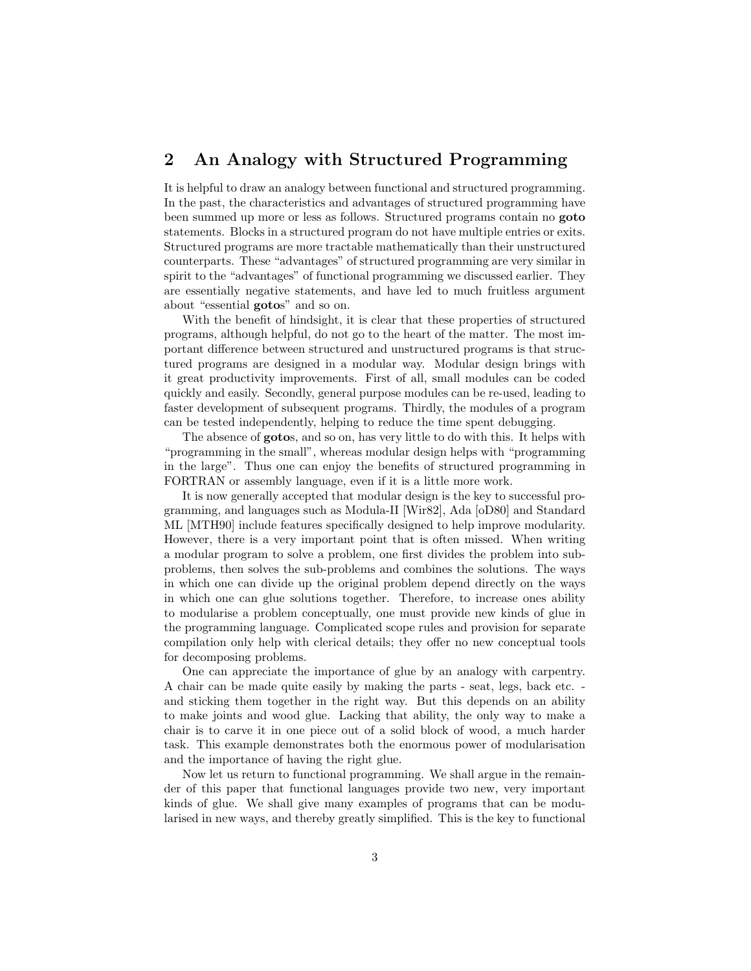## 2 An Analogy with Structured Programming

It is helpful to draw an analogy between functional and structured programming. In the past, the characteristics and advantages of structured programming have been summed up more or less as follows. Structured programs contain no goto statements. Blocks in a structured program do not have multiple entries or exits. Structured programs are more tractable mathematically than their unstructured counterparts. These "advantages" of structured programming are very similar in spirit to the "advantages" of functional programming we discussed earlier. They are essentially negative statements, and have led to much fruitless argument about "essential gotos" and so on.

With the benefit of hindsight, it is clear that these properties of structured programs, although helpful, do not go to the heart of the matter. The most important difference between structured and unstructured programs is that structured programs are designed in a modular way. Modular design brings with it great productivity improvements. First of all, small modules can be coded quickly and easily. Secondly, general purpose modules can be re-used, leading to faster development of subsequent programs. Thirdly, the modules of a program can be tested independently, helping to reduce the time spent debugging.

The absence of gotos, and so on, has very little to do with this. It helps with "programming in the small", whereas modular design helps with "programming in the large". Thus one can enjoy the benefits of structured programming in FORTRAN or assembly language, even if it is a little more work.

It is now generally accepted that modular design is the key to successful programming, and languages such as Modula-II [Wir82], Ada [oD80] and Standard ML [MTH90] include features specifically designed to help improve modularity. However, there is a very important point that is often missed. When writing a modular program to solve a problem, one first divides the problem into subproblems, then solves the sub-problems and combines the solutions. The ways in which one can divide up the original problem depend directly on the ways in which one can glue solutions together. Therefore, to increase ones ability to modularise a problem conceptually, one must provide new kinds of glue in the programming language. Complicated scope rules and provision for separate compilation only help with clerical details; they offer no new conceptual tools for decomposing problems.

One can appreciate the importance of glue by an analogy with carpentry. A chair can be made quite easily by making the parts - seat, legs, back etc. and sticking them together in the right way. But this depends on an ability to make joints and wood glue. Lacking that ability, the only way to make a chair is to carve it in one piece out of a solid block of wood, a much harder task. This example demonstrates both the enormous power of modularisation and the importance of having the right glue.

Now let us return to functional programming. We shall argue in the remainder of this paper that functional languages provide two new, very important kinds of glue. We shall give many examples of programs that can be modularised in new ways, and thereby greatly simplified. This is the key to functional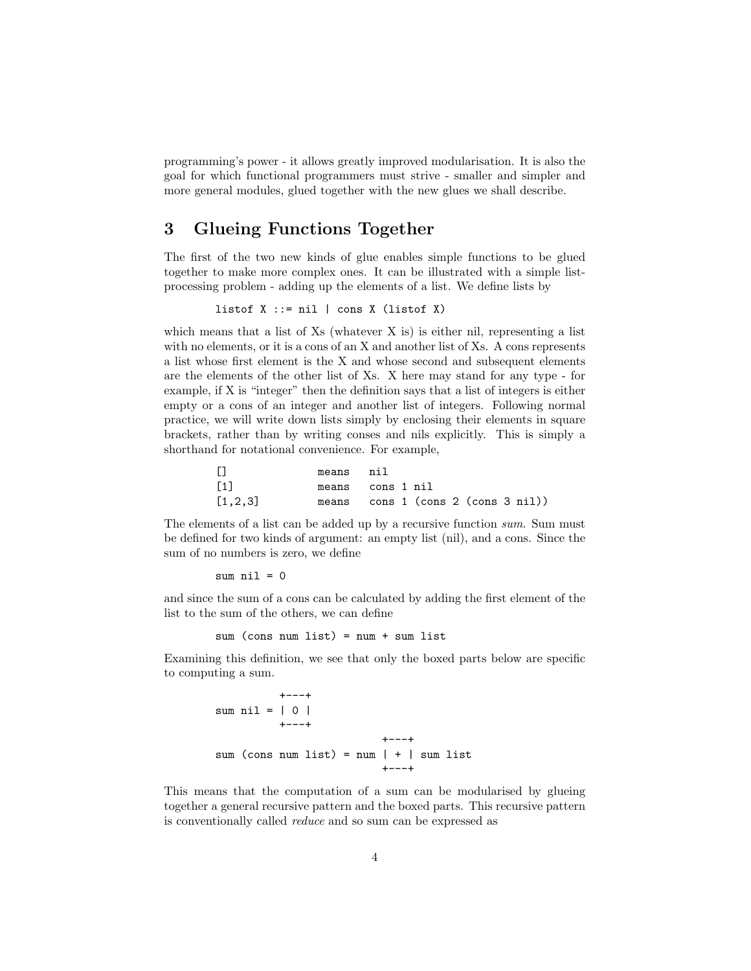programming's power - it allows greatly improved modularisation. It is also the goal for which functional programmers must strive - smaller and simpler and more general modules, glued together with the new glues we shall describe.

## 3 Glueing Functions Together

The first of the two new kinds of glue enables simple functions to be glued together to make more complex ones. It can be illustrated with a simple listprocessing problem - adding up the elements of a list. We define lists by

listof  $X ::= nil$  | cons X (listof X)

which means that a list of Xs (whatever X is) is either nil, representing a list with no elements, or it is a cons of an X and another list of Xs. A cons represents a list whose first element is the X and whose second and subsequent elements are the elements of the other list of Xs. X here may stand for any type - for example, if X is "integer" then the definition says that a list of integers is either empty or a cons of an integer and another list of integers. Following normal practice, we will write down lists simply by enclosing their elements in square brackets, rather than by writing conses and nils explicitly. This is simply a shorthand for notational convenience. For example,

| - [1       | means nil |                                      |
|------------|-----------|--------------------------------------|
| <b>F11</b> |           | means cons 1 nil                     |
| [1, 2, 3]  |           | means $\cos 1$ (cons 2 (cons 3 nil)) |

The elements of a list can be added up by a recursive function sum. Sum must be defined for two kinds of argument: an empty list (nil), and a cons. Since the sum of no numbers is zero, we define

```
sum \ nil = 0
```
and since the sum of a cons can be calculated by adding the first element of the list to the sum of the others, we can define

 $sum (cons num list) = num + sum list$ 

Examining this definition, we see that only the boxed parts below are specific to computing a sum.

```
+---+
sum nil = | 0 |+---+
                            +---+sum (cons num list) = num | + | sum list
                            + - - - +
```
This means that the computation of a sum can be modularised by glueing together a general recursive pattern and the boxed parts. This recursive pattern is conventionally called reduce and so sum can be expressed as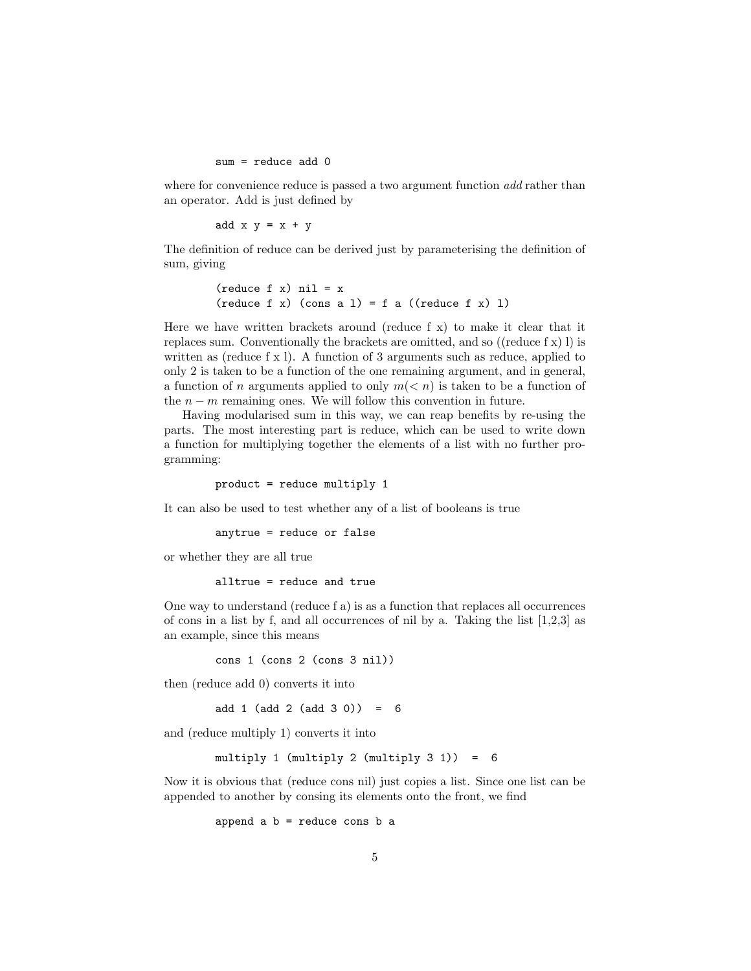sum = reduce add 0

where for convenience reduce is passed a two argument function *add* rather than an operator. Add is just defined by

add  $x y = x + y$ 

The definition of reduce can be derived just by parameterising the definition of sum, giving

```
(\text{reduce } f x) \text{ nil} = x(\text{reduce } f x) (\text{cons } a 1) = f a ((\text{reduce } f x) 1)
```
Here we have written brackets around (reduce  $f(x)$  to make it clear that it replaces sum. Conventionally the brackets are omitted, and so ((reduce f x) l) is written as (reduce f x l). A function of 3 arguments such as reduce, applied to only 2 is taken to be a function of the one remaining argument, and in general, a function of n arguments applied to only  $m(< n)$  is taken to be a function of the  $n - m$  remaining ones. We will follow this convention in future.

Having modularised sum in this way, we can reap benefits by re-using the parts. The most interesting part is reduce, which can be used to write down a function for multiplying together the elements of a list with no further programming:

product = reduce multiply 1

It can also be used to test whether any of a list of booleans is true

anytrue = reduce or false

or whether they are all true

alltrue = reduce and true

One way to understand (reduce f a) is as a function that replaces all occurrences of cons in a list by f, and all occurrences of nil by a. Taking the list [1,2,3] as an example, since this means

cons 1 (cons 2 (cons 3 nil))

then (reduce add 0) converts it into

add 1 (add 2 (add 3 0)) = 6

and (reduce multiply 1) converts it into

multiply 1 (multiply 2 (multiply  $3 \t1)$ ) = 6

Now it is obvious that (reduce cons nil) just copies a list. Since one list can be appended to another by consing its elements onto the front, we find

append  $a$   $b$  = reduce cons  $b$   $a$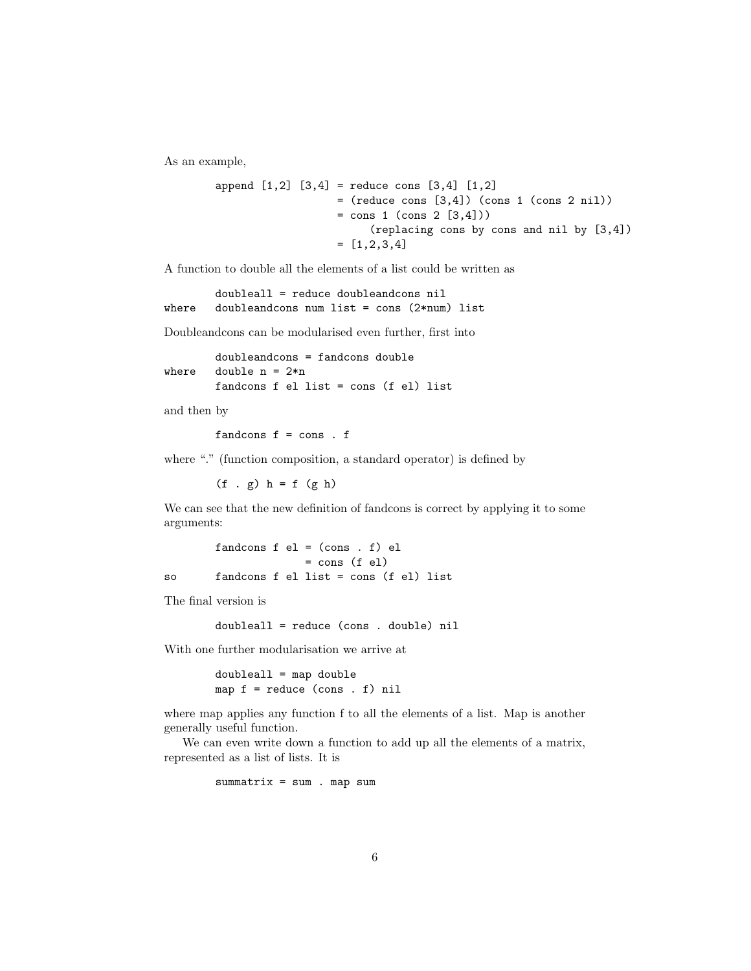As an example,

```
append [1,2] [3,4] = reduce cons [3,4] [1,2]= (reduce cons [3,4]) (cons 1 (cons 2 nil))
                   = cons 1 (cons 2 [3,4]))
                        (replacing cons by cons and nil by [3,4])
                   = [1, 2, 3, 4]
```
A function to double all the elements of a list could be written as

```
doubleall = reduce doubleandcons nil
where doubleandcons num list = cons (2*num) list
```
Doubleandcons can be modularised even further, first into

```
doubleandcons = fandcons double
where double n = 2*nfandcons f el list = cons (f el) list
```
and then by

fandcons  $f = const$ .  $f$ 

where "." (function composition, a standard operator) is defined by

 $(f g) h = f (g h)$ 

We can see that the new definition of fandcons is correct by applying it to some arguments:

```
fandcons f el = (cons f) el
                    = cons (f el)
so fandcons f el list = cons (f el) list
```
The final version is

doubleall = reduce (cons . double) nil

With one further modularisation we arrive at

doubleall = map double map f = reduce (cons . f) nil

where map applies any function f to all the elements of a list. Map is another generally useful function.

We can even write down a function to add up all the elements of a matrix, represented as a list of lists. It is

summatrix = sum . map sum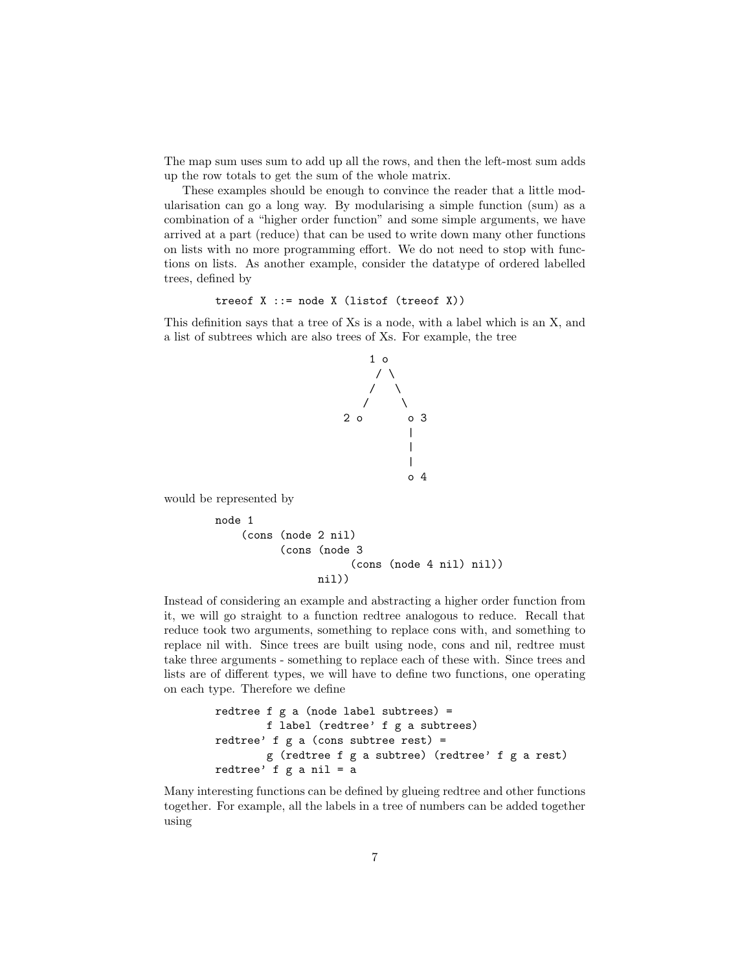The map sum uses sum to add up all the rows, and then the left-most sum adds up the row totals to get the sum of the whole matrix.

These examples should be enough to convince the reader that a little modularisation can go a long way. By modularising a simple function (sum) as a combination of a "higher order function" and some simple arguments, we have arrived at a part (reduce) that can be used to write down many other functions on lists with no more programming effort. We do not need to stop with functions on lists. As another example, consider the datatype of ordered labelled trees, defined by

treeof  $X ::= node X (listof (treeof X))$ 

This definition says that a tree of Xs is a node, with a label which is an X, and a list of subtrees which are also trees of Xs. For example, the tree



would be represented by

```
node 1
    (cons (node 2 nil)
          (cons (node 3
                      (cons (node 4 nil) nil))
                 nil))
```
Instead of considering an example and abstracting a higher order function from it, we will go straight to a function redtree analogous to reduce. Recall that reduce took two arguments, something to replace cons with, and something to replace nil with. Since trees are built using node, cons and nil, redtree must take three arguments - something to replace each of these with. Since trees and lists are of different types, we will have to define two functions, one operating on each type. Therefore we define

```
redtree f g a (node label subtrees) =
        f label (redtree' f g a subtrees)
redtree' f g a (cons subtree rest) =
        g (redtree f g a subtree) (redtree' f g a rest)
redtree' f g a nil = a
```
Many interesting functions can be defined by glueing redtree and other functions together. For example, all the labels in a tree of numbers can be added together using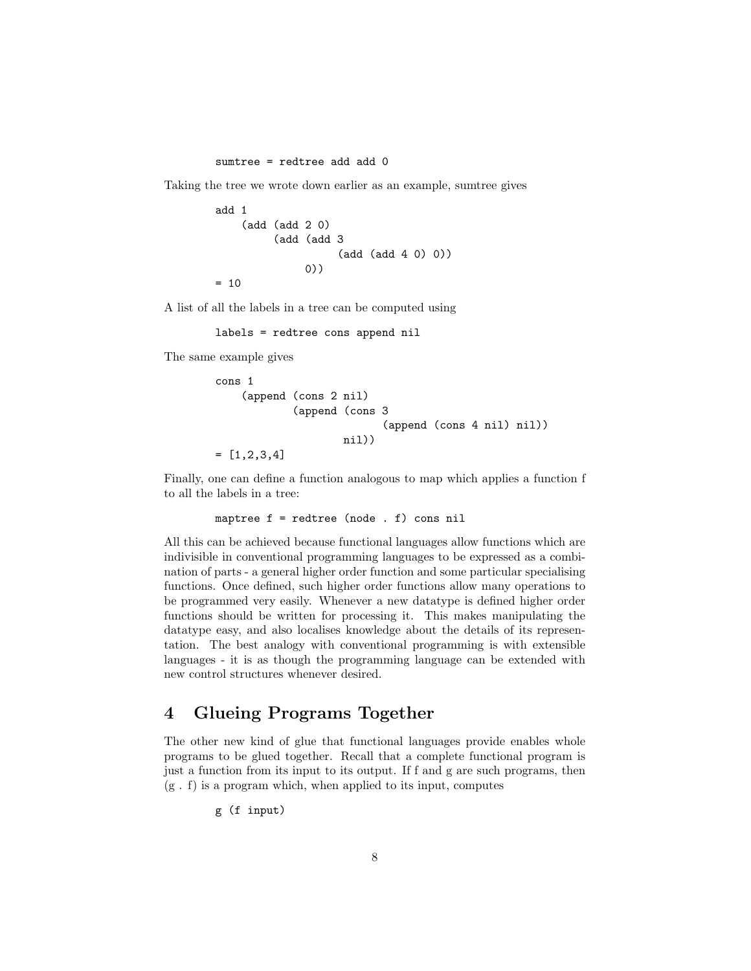sumtree = redtree add add 0

Taking the tree we wrote down earlier as an example, sumtree gives

```
add 1
    (add (add 2 0)
          (add (add 3
                     (add (add 4 0) 0))
               0))
= 10
```
A list of all the labels in a tree can be computed using

```
labels = redtree cons append nil
```
The same example gives

```
cons 1
    (append (cons 2 nil)
             (append (cons 3
                            (append (cons 4 nil) nil))
                     nil))
=[1, 2, 3, 4]
```
Finally, one can define a function analogous to map which applies a function f to all the labels in a tree:

```
maptree f = redtree (node . f) cons nil
```
All this can be achieved because functional languages allow functions which are indivisible in conventional programming languages to be expressed as a combination of parts - a general higher order function and some particular specialising functions. Once defined, such higher order functions allow many operations to be programmed very easily. Whenever a new datatype is defined higher order functions should be written for processing it. This makes manipulating the datatype easy, and also localises knowledge about the details of its representation. The best analogy with conventional programming is with extensible languages - it is as though the programming language can be extended with new control structures whenever desired.

## 4 Glueing Programs Together

The other new kind of glue that functional languages provide enables whole programs to be glued together. Recall that a complete functional program is just a function from its input to its output. If f and g are such programs, then (g . f) is a program which, when applied to its input, computes

g (f input)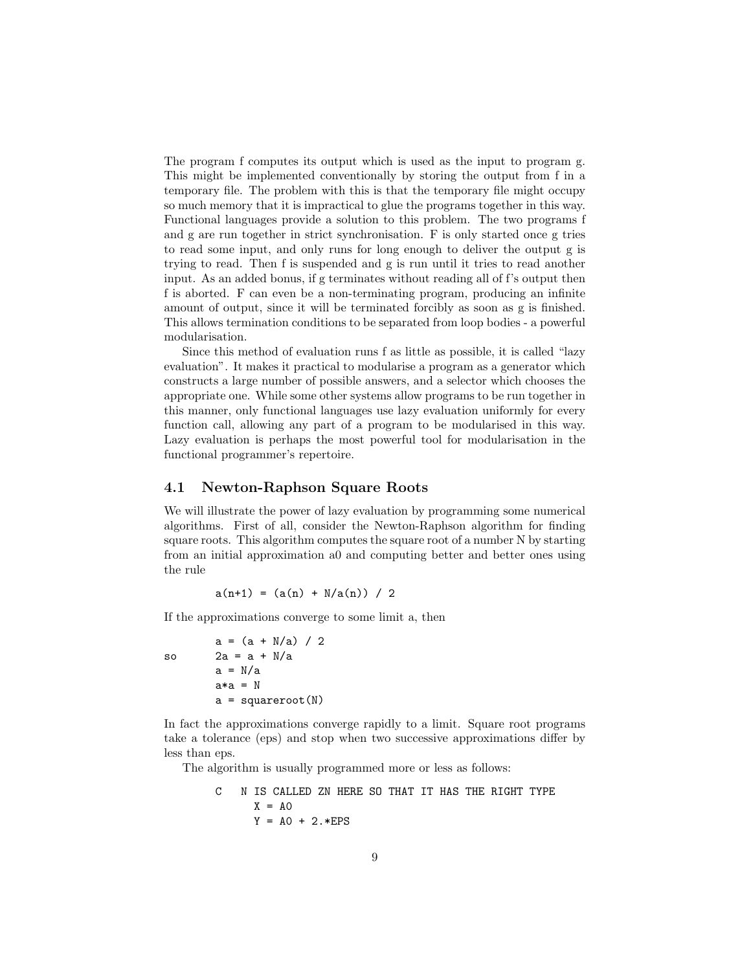The program f computes its output which is used as the input to program g. This might be implemented conventionally by storing the output from f in a temporary file. The problem with this is that the temporary file might occupy so much memory that it is impractical to glue the programs together in this way. Functional languages provide a solution to this problem. The two programs f and g are run together in strict synchronisation. F is only started once g tries to read some input, and only runs for long enough to deliver the output g is trying to read. Then f is suspended and g is run until it tries to read another input. As an added bonus, if g terminates without reading all of f's output then f is aborted. F can even be a non-terminating program, producing an infinite amount of output, since it will be terminated forcibly as soon as g is finished. This allows termination conditions to be separated from loop bodies - a powerful modularisation.

Since this method of evaluation runs f as little as possible, it is called "lazy evaluation". It makes it practical to modularise a program as a generator which constructs a large number of possible answers, and a selector which chooses the appropriate one. While some other systems allow programs to be run together in this manner, only functional languages use lazy evaluation uniformly for every function call, allowing any part of a program to be modularised in this way. Lazy evaluation is perhaps the most powerful tool for modularisation in the functional programmer's repertoire.

### 4.1 Newton-Raphson Square Roots

We will illustrate the power of lazy evaluation by programming some numerical algorithms. First of all, consider the Newton-Raphson algorithm for finding square roots. This algorithm computes the square root of a number N by starting from an initial approximation a0 and computing better and better ones using the rule

$$
a(n+1) = (a(n) + N/a(n)) / 2
$$

If the approximations converge to some limit a, then

 $a = (a + N/a) / 2$ so  $2a = a + N/a$  $a = N/a$  $a*a = N$  $a = squareroot(N)$ 

In fact the approximations converge rapidly to a limit. Square root programs take a tolerance (eps) and stop when two successive approximations differ by less than eps.

The algorithm is usually programmed more or less as follows:

C N IS CALLED ZN HERE SO THAT IT HAS THE RIGHT TYPE  $X = AO$  $Y = AO + 2.*EPS$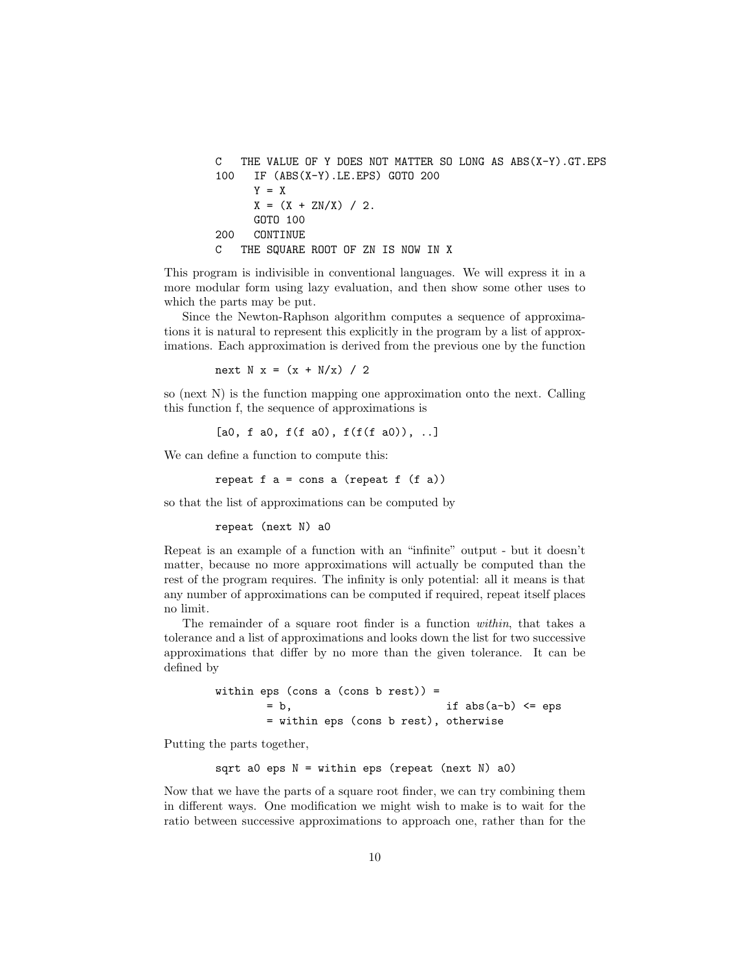```
C THE VALUE OF Y DOES NOT MATTER SO LONG AS ABS(X-Y).GT.EPS
100 IF (ABS(X-Y).LE.EPS) GOTO 200
     Y = XX = (X + ZN/X) / 2.
     GOTO 100
200 CONTINUE
C THE SQUARE ROOT OF ZN IS NOW IN X
```
This program is indivisible in conventional languages. We will express it in a more modular form using lazy evaluation, and then show some other uses to which the parts may be put.

Since the Newton-Raphson algorithm computes a sequence of approximations it is natural to represent this explicitly in the program by a list of approximations. Each approximation is derived from the previous one by the function

next  $N x = (x + N/x) / 2$ 

so (next N) is the function mapping one approximation onto the next. Calling this function f, the sequence of approximations is

[ $a0, f a0, f(f a0), f(f(f a0)), \ldots$ ]

We can define a function to compute this:

repeat  $f$   $a$  = cons a (repeat  $f$  ( $f$   $a$ ))

so that the list of approximations can be computed by

repeat (next N) a0

Repeat is an example of a function with an "infinite" output - but it doesn't matter, because no more approximations will actually be computed than the rest of the program requires. The infinity is only potential: all it means is that any number of approximations can be computed if required, repeat itself places no limit.

The remainder of a square root finder is a function *within*, that takes a tolerance and a list of approximations and looks down the list for two successive approximations that differ by no more than the given tolerance. It can be defined by

```
within eps (cons a (cons b rest)) =
       = b, \text{if abs}(a-b) \leq \text{eps}= within eps (cons b rest), otherwise
```
Putting the parts together,

```
sqrt a0 eps N = within eps (repeat (next N) a0)
```
Now that we have the parts of a square root finder, we can try combining them in different ways. One modification we might wish to make is to wait for the ratio between successive approximations to approach one, rather than for the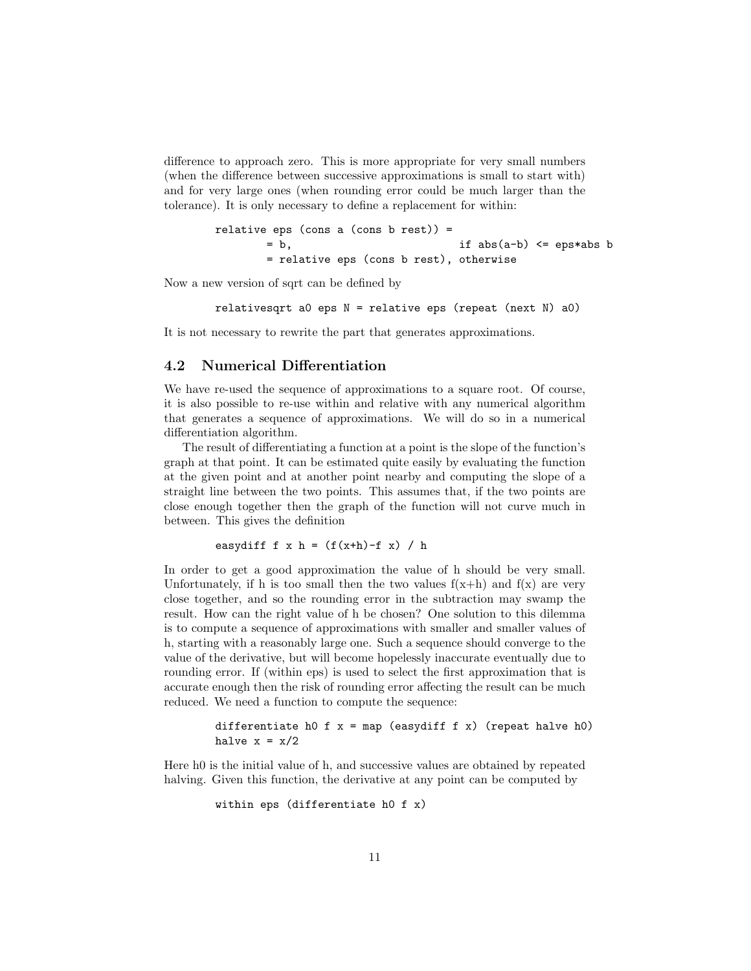difference to approach zero. This is more appropriate for very small numbers (when the difference between successive approximations is small to start with) and for very large ones (when rounding error could be much larger than the tolerance). It is only necessary to define a replacement for within:

```
relative eps (cons a (cons b rest)) =
      = b, if abs(a-b) < = eps*abs b= relative eps (cons b rest), otherwise
```
Now a new version of sqrt can be defined by

relativesqrt a0 eps  $N =$  relative eps (repeat (next N) a0)

It is not necessary to rewrite the part that generates approximations.

### 4.2 Numerical Differentiation

We have re-used the sequence of approximations to a square root. Of course, it is also possible to re-use within and relative with any numerical algorithm that generates a sequence of approximations. We will do so in a numerical differentiation algorithm.

The result of differentiating a function at a point is the slope of the function's graph at that point. It can be estimated quite easily by evaluating the function at the given point and at another point nearby and computing the slope of a straight line between the two points. This assumes that, if the two points are close enough together then the graph of the function will not curve much in between. This gives the definition

```
easydiff f \times h = (f(x+h)-f x) / h
```
In order to get a good approximation the value of h should be very small. Unfortunately, if h is too small then the two values  $f(x+h)$  and  $f(x)$  are very close together, and so the rounding error in the subtraction may swamp the result. How can the right value of h be chosen? One solution to this dilemma is to compute a sequence of approximations with smaller and smaller values of h, starting with a reasonably large one. Such a sequence should converge to the value of the derivative, but will become hopelessly inaccurate eventually due to rounding error. If (within eps) is used to select the first approximation that is accurate enough then the risk of rounding error affecting the result can be much reduced. We need a function to compute the sequence:

> differentiate h0 f  $x = map$  (easydiff f x) (repeat halve h0) halve  $x = x/2$

Here h0 is the initial value of h, and successive values are obtained by repeated halving. Given this function, the derivative at any point can be computed by

```
within eps (differentiate h0 f x)
```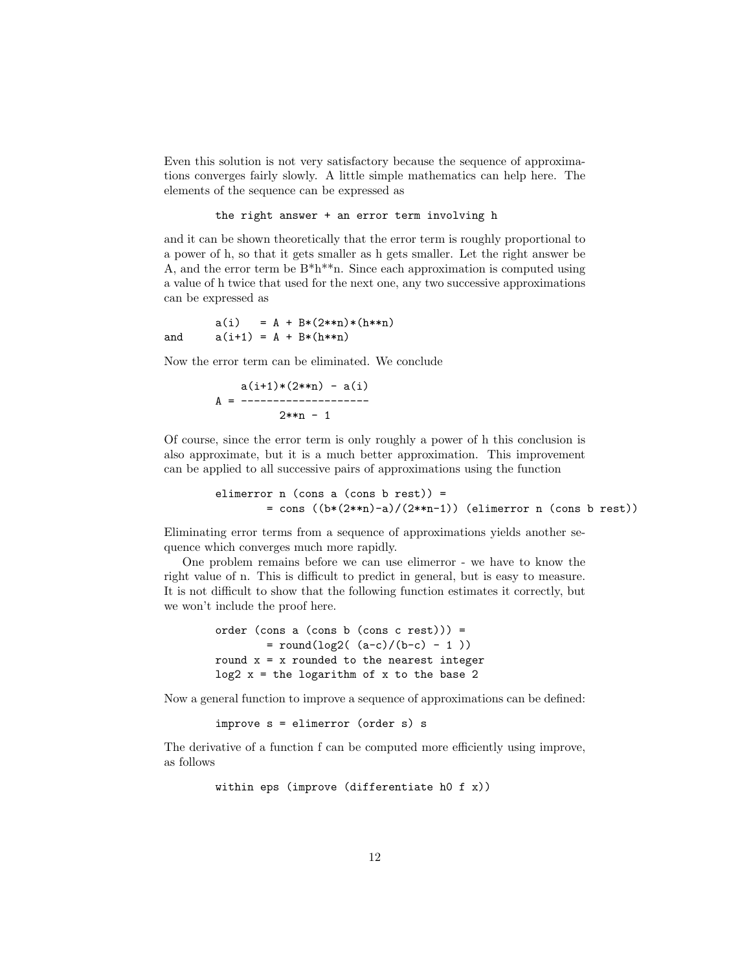Even this solution is not very satisfactory because the sequence of approximations converges fairly slowly. A little simple mathematics can help here. The elements of the sequence can be expressed as

the right answer + an error term involving h

and it can be shown theoretically that the error term is roughly proportional to a power of h, so that it gets smaller as h gets smaller. Let the right answer be A, and the error term be  $B^*h^{**}n$ . Since each approximation is computed using a value of h twice that used for the next one, any two successive approximations can be expressed as

 $a(i) = A + B*(2**n)*(h**n)$ and  $a(i+1) = A + B*(h**n)$ 

Now the error term can be eliminated. We conclude

 $a(i+1)*(2**n) - a(i)$ A = --------------------  $2***n - 1$ 

Of course, since the error term is only roughly a power of h this conclusion is also approximate, but it is a much better approximation. This improvement can be applied to all successive pairs of approximations using the function

```
elimerror n (cons a (cons b rest)) =
       = cons ((b*(2**n)-a)/(2**n-1)) (elimerror n (cons b rest))
```
Eliminating error terms from a sequence of approximations yields another sequence which converges much more rapidly.

One problem remains before we can use elimerror - we have to know the right value of n. This is difficult to predict in general, but is easy to measure. It is not difficult to show that the following function estimates it correctly, but we won't include the proof here.

```
order (cons a (cons b (cons c rest))) =
       = round(log2( (a-c)/(b-c) - 1 ))
round x = x rounded to the nearest integer
log2 x = the logarithm of x to the base 2
```
Now a general function to improve a sequence of approximations can be defined:

improve s = elimerror (order s) s

The derivative of a function f can be computed more efficiently using improve, as follows

```
within eps (improve (differentiate h0 f x))
```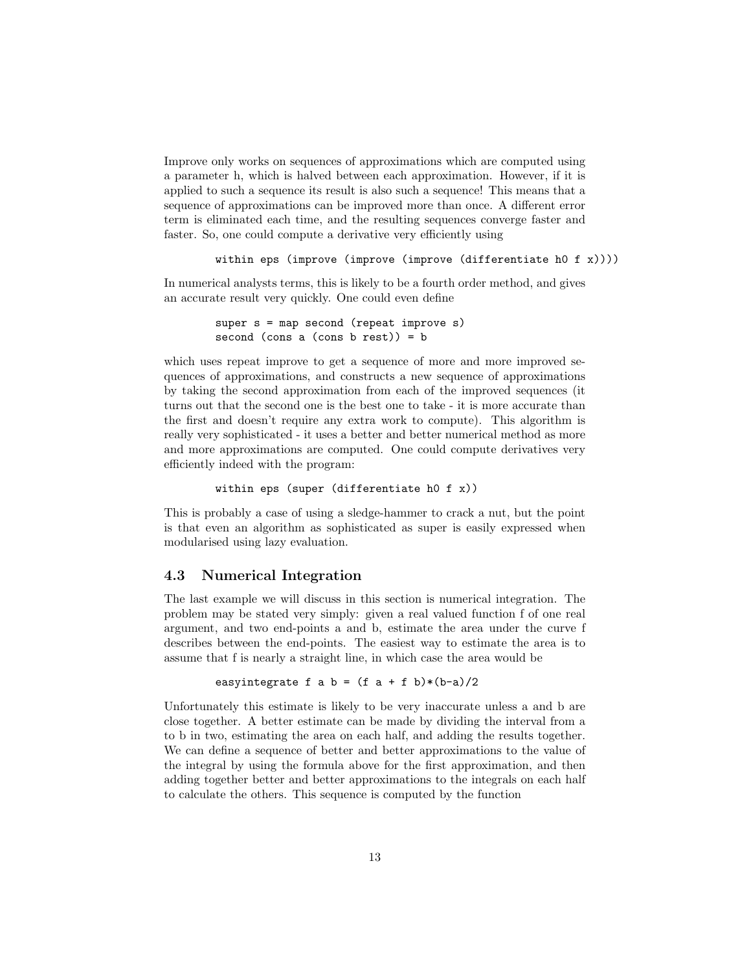Improve only works on sequences of approximations which are computed using a parameter h, which is halved between each approximation. However, if it is applied to such a sequence its result is also such a sequence! This means that a sequence of approximations can be improved more than once. A different error term is eliminated each time, and the resulting sequences converge faster and faster. So, one could compute a derivative very efficiently using

```
within eps (improve (improve (improve (differentiate h0 f x))))
```
In numerical analysts terms, this is likely to be a fourth order method, and gives an accurate result very quickly. One could even define

```
super s = map second (repeat improve s)
second (cons a (cons b rest)) = b
```
which uses repeat improve to get a sequence of more and more improved sequences of approximations, and constructs a new sequence of approximations by taking the second approximation from each of the improved sequences (it turns out that the second one is the best one to take - it is more accurate than the first and doesn't require any extra work to compute). This algorithm is really very sophisticated - it uses a better and better numerical method as more and more approximations are computed. One could compute derivatives very efficiently indeed with the program:

```
within eps (super (differentiate h0 f x))
```
This is probably a case of using a sledge-hammer to crack a nut, but the point is that even an algorithm as sophisticated as super is easily expressed when modularised using lazy evaluation.

### 4.3 Numerical Integration

The last example we will discuss in this section is numerical integration. The problem may be stated very simply: given a real valued function f of one real argument, and two end-points a and b, estimate the area under the curve f describes between the end-points. The easiest way to estimate the area is to assume that f is nearly a straight line, in which case the area would be

easyintegrate f a  $b = (f a + f b)*(b-a)/2$ 

Unfortunately this estimate is likely to be very inaccurate unless a and b are close together. A better estimate can be made by dividing the interval from a to b in two, estimating the area on each half, and adding the results together. We can define a sequence of better and better approximations to the value of the integral by using the formula above for the first approximation, and then adding together better and better approximations to the integrals on each half to calculate the others. This sequence is computed by the function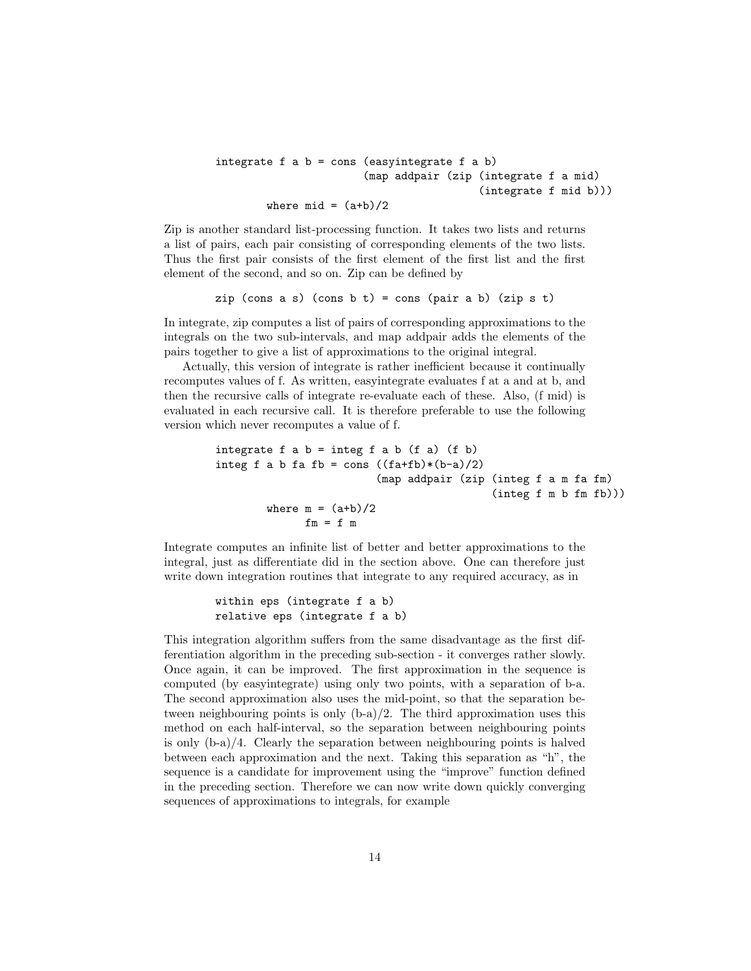```
integrate f a b = cons (easyintegrate f a b)
                       (map addpair (zip (integrate f a mid)
                                         (integrate f mid b)))
       where mid = (a+b)/2
```
Zip is another standard list-processing function. It takes two lists and returns a list of pairs, each pair consisting of corresponding elements of the two lists. Thus the first pair consists of the first element of the first list and the first element of the second, and so on. Zip can be defined by

zip (cons a s) (cons  $b$  t) = cons (pair a  $b$ ) (zip s t)

In integrate, zip computes a list of pairs of corresponding approximations to the integrals on the two sub-intervals, and map addpair adds the elements of the pairs together to give a list of approximations to the original integral.

Actually, this version of integrate is rather inefficient because it continually recomputes values of f. As written, easyintegrate evaluates f at a and at b, and then the recursive calls of integrate re-evaluate each of these. Also, (f mid) is evaluated in each recursive call. It is therefore preferable to use the following version which never recomputes a value of f.

```
integrate f a b = integ f a b (f a) (f b)
integ f a b fa fb = cons ((fa+fb)*(b-a)/2)(map addpair (zip (integ f a m fa fm)
                                           (integ f m b fm fb)))
       where m = (a+b)/2fm = f m
```
Integrate computes an infinite list of better and better approximations to the integral, just as differentiate did in the section above. One can therefore just write down integration routines that integrate to any required accuracy, as in

> within eps (integrate f a b) relative eps (integrate f a b)

This integration algorithm suffers from the same disadvantage as the first differentiation algorithm in the preceding sub-section - it converges rather slowly. Once again, it can be improved. The first approximation in the sequence is computed (by easyintegrate) using only two points, with a separation of b-a. The second approximation also uses the mid-point, so that the separation between neighbouring points is only (b-a)/2. The third approximation uses this method on each half-interval, so the separation between neighbouring points is only (b-a)/4. Clearly the separation between neighbouring points is halved between each approximation and the next. Taking this separation as "h", the sequence is a candidate for improvement using the "improve" function defined in the preceding section. Therefore we can now write down quickly converging sequences of approximations to integrals, for example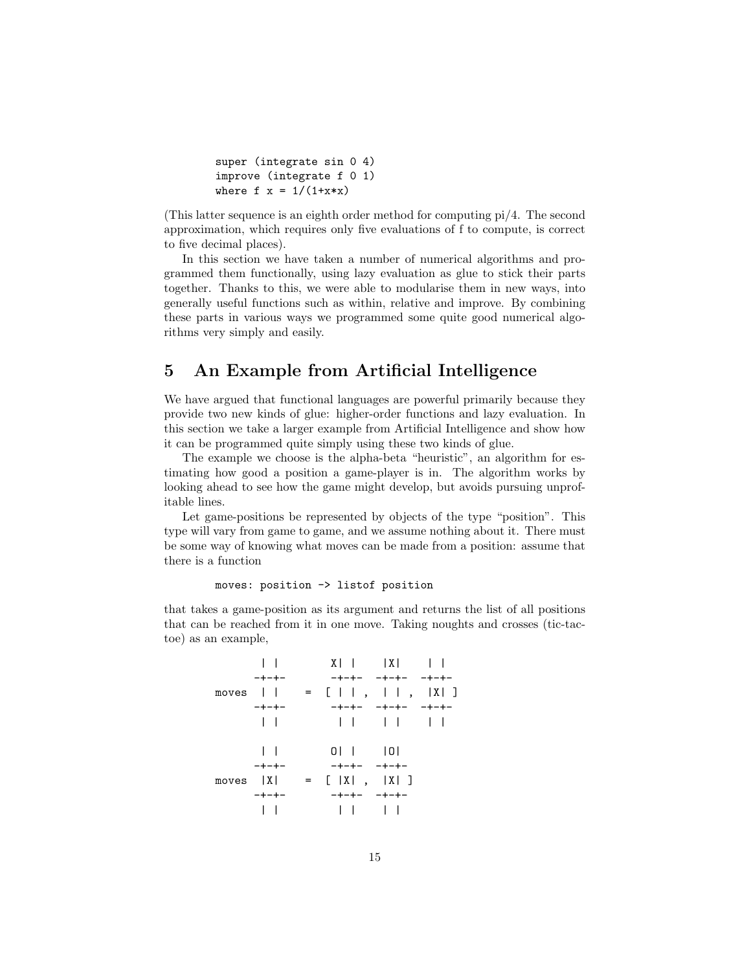```
super (integrate sin 0 4)
improve (integrate f 0 1)
where f(x) = 1/(1+x*x)
```
(This latter sequence is an eighth order method for computing pi/4. The second approximation, which requires only five evaluations of f to compute, is correct to five decimal places).

In this section we have taken a number of numerical algorithms and programmed them functionally, using lazy evaluation as glue to stick their parts together. Thanks to this, we were able to modularise them in new ways, into generally useful functions such as within, relative and improve. By combining these parts in various ways we programmed some quite good numerical algorithms very simply and easily.

### 5 An Example from Artificial Intelligence

We have argued that functional languages are powerful primarily because they provide two new kinds of glue: higher-order functions and lazy evaluation. In this section we take a larger example from Artificial Intelligence and show how it can be programmed quite simply using these two kinds of glue.

The example we choose is the alpha-beta "heuristic", an algorithm for estimating how good a position a game-player is in. The algorithm works by looking ahead to see how the game might develop, but avoids pursuing unprofitable lines.

Let game-positions be represented by objects of the type "position". This type will vary from game to game, and we assume nothing about it. There must be some way of knowing what moves can be made from a position: assume that there is a function

#### moves: position -> listof position

that takes a game-position as its argument and returns the list of all positions that can be reached from it in one move. Taking noughts and crosses (tic-tactoe) as an example,

| | X| | |X| | | -+-+- -+-+- -+-+- -+-+ moves | | = [ | | , | | , |X| ] -+-+- -+-+- -+-+- -+-+- | | | | | | | | | | O| | |O| -+-+- -+-+- -+-+ moves |X| = [ |X| , |X| ] -+-+- -+-+- -+-+- | | | | | |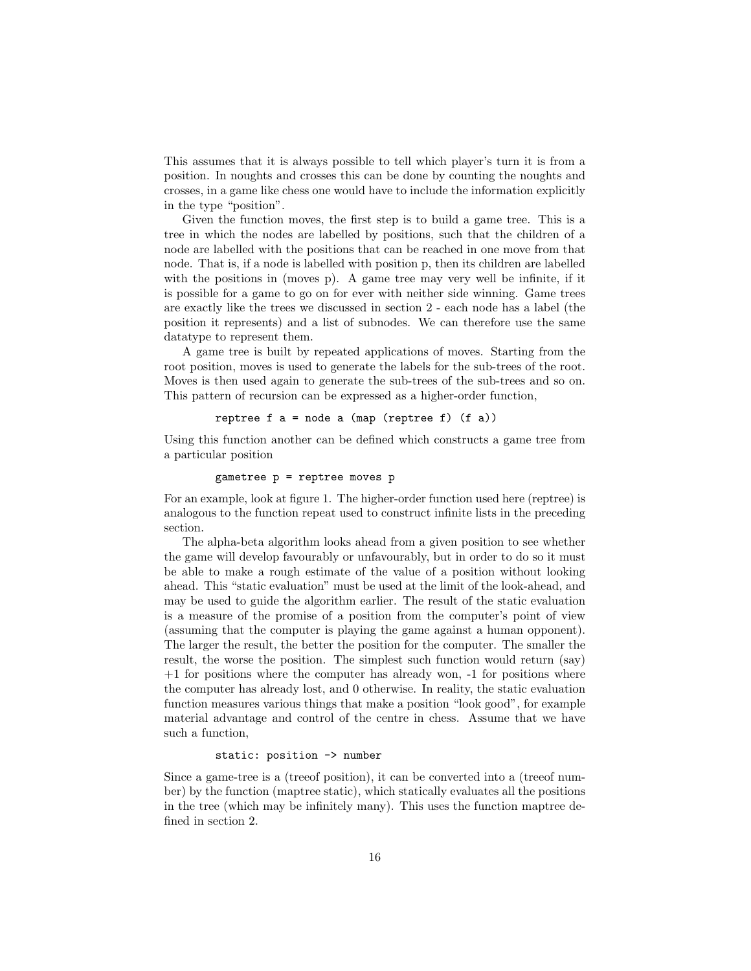This assumes that it is always possible to tell which player's turn it is from a position. In noughts and crosses this can be done by counting the noughts and crosses, in a game like chess one would have to include the information explicitly in the type "position".

Given the function moves, the first step is to build a game tree. This is a tree in which the nodes are labelled by positions, such that the children of a node are labelled with the positions that can be reached in one move from that node. That is, if a node is labelled with position p, then its children are labelled with the positions in (moves p). A game tree may very well be infinite, if it is possible for a game to go on for ever with neither side winning. Game trees are exactly like the trees we discussed in section 2 - each node has a label (the position it represents) and a list of subnodes. We can therefore use the same datatype to represent them.

A game tree is built by repeated applications of moves. Starting from the root position, moves is used to generate the labels for the sub-trees of the root. Moves is then used again to generate the sub-trees of the sub-trees and so on. This pattern of recursion can be expressed as a higher-order function,

### reptree f a = node a (map (reptree f) (f a))

Using this function another can be defined which constructs a game tree from a particular position

### gametree p = reptree moves p

For an example, look at figure 1. The higher-order function used here (reptree) is analogous to the function repeat used to construct infinite lists in the preceding section.

The alpha-beta algorithm looks ahead from a given position to see whether the game will develop favourably or unfavourably, but in order to do so it must be able to make a rough estimate of the value of a position without looking ahead. This "static evaluation" must be used at the limit of the look-ahead, and may be used to guide the algorithm earlier. The result of the static evaluation is a measure of the promise of a position from the computer's point of view (assuming that the computer is playing the game against a human opponent). The larger the result, the better the position for the computer. The smaller the result, the worse the position. The simplest such function would return (say) +1 for positions where the computer has already won, -1 for positions where the computer has already lost, and 0 otherwise. In reality, the static evaluation function measures various things that make a position "look good", for example material advantage and control of the centre in chess. Assume that we have such a function,

#### static: position -> number

Since a game-tree is a (treeof position), it can be converted into a (treeof number) by the function (maptree static), which statically evaluates all the positions in the tree (which may be infinitely many). This uses the function maptree defined in section 2.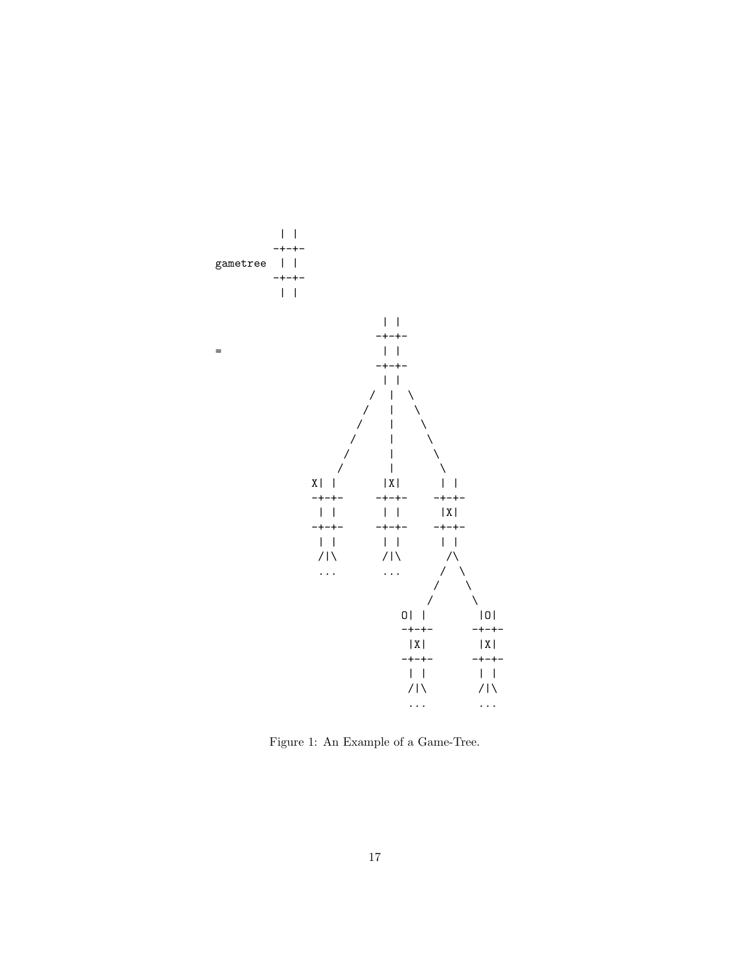

Figure 1: An Example of a Game-Tree.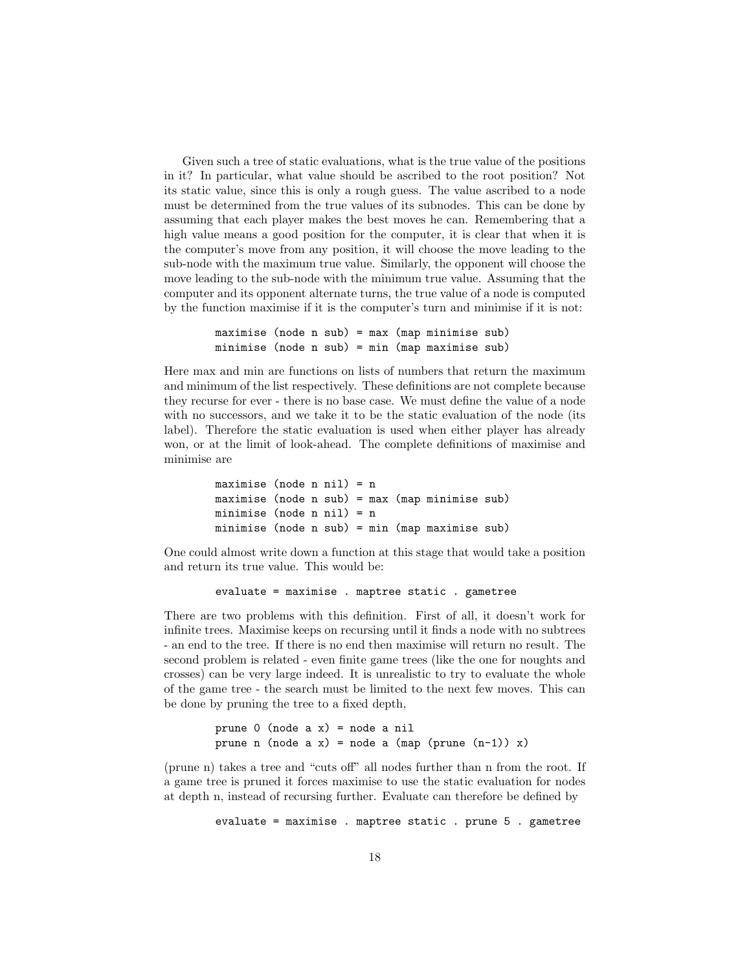Given such a tree of static evaluations, what is the true value of the positions in it? In particular, what value should be ascribed to the root position? Not its static value, since this is only a rough guess. The value ascribed to a node must be determined from the true values of its subnodes. This can be done by assuming that each player makes the best moves he can. Remembering that a high value means a good position for the computer, it is clear that when it is the computer's move from any position, it will choose the move leading to the sub-node with the maximum true value. Similarly, the opponent will choose the move leading to the sub-node with the minimum true value. Assuming that the computer and its opponent alternate turns, the true value of a node is computed by the function maximise if it is the computer's turn and minimise if it is not:

```
maximise (node n sub) = max (map minimise sub)
minimise (node n sub) = min (map maximise sub)
```
Here max and min are functions on lists of numbers that return the maximum and minimum of the list respectively. These definitions are not complete because they recurse for ever - there is no base case. We must define the value of a node with no successors, and we take it to be the static evaluation of the node (its label). Therefore the static evaluation is used when either player has already won, or at the limit of look-ahead. The complete definitions of maximise and minimise are

```
maximise (node n nil) = n
maximise (node n sub) = max (map minimise sub)
minimise (node n nil) = n
minimise (node n sub) = min (map maximise sub)
```
One could almost write down a function at this stage that would take a position and return its true value. This would be:

evaluate = maximise . maptree static . gametree

There are two problems with this definition. First of all, it doesn't work for infinite trees. Maximise keeps on recursing until it finds a node with no subtrees - an end to the tree. If there is no end then maximise will return no result. The second problem is related - even finite game trees (like the one for noughts and crosses) can be very large indeed. It is unrealistic to try to evaluate the whole of the game tree - the search must be limited to the next few moves. This can be done by pruning the tree to a fixed depth,

> prune 0 (node a x) = node a nil prune n (node a  $x$ ) = node a (map (prune  $(n-1)$ ) x)

(prune n) takes a tree and "cuts off" all nodes further than n from the root. If a game tree is pruned it forces maximise to use the static evaluation for nodes at depth n, instead of recursing further. Evaluate can therefore be defined by

evaluate = maximise . maptree static . prune 5 . gametree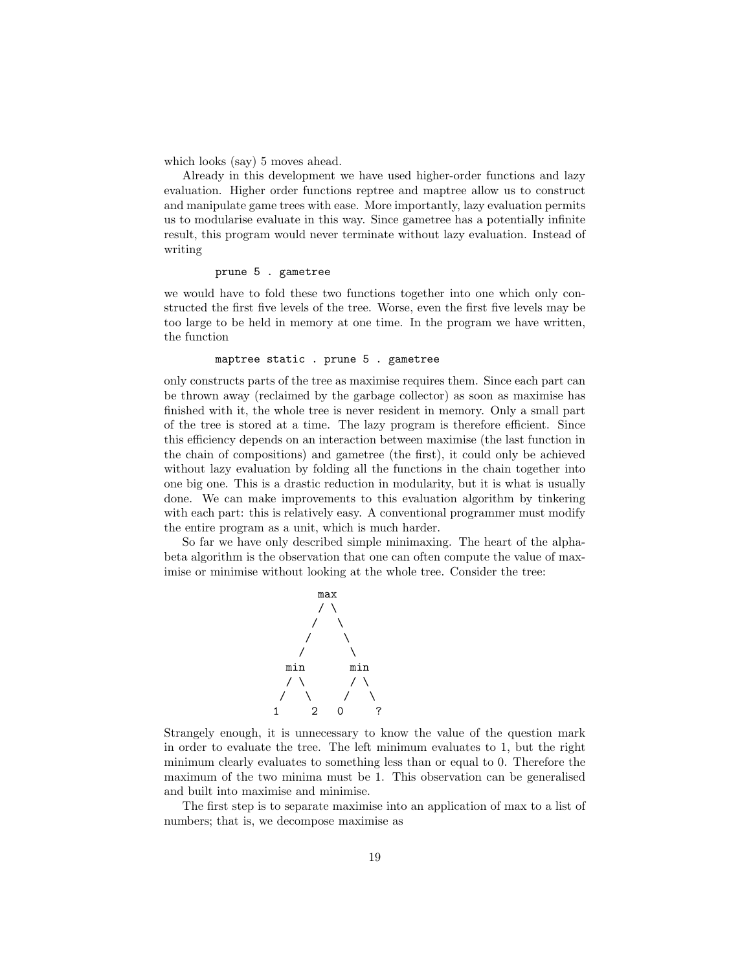which looks (say) 5 moves ahead.

Already in this development we have used higher-order functions and lazy evaluation. Higher order functions reptree and maptree allow us to construct and manipulate game trees with ease. More importantly, lazy evaluation permits us to modularise evaluate in this way. Since gametree has a potentially infinite result, this program would never terminate without lazy evaluation. Instead of writing

#### prune 5 . gametree

we would have to fold these two functions together into one which only constructed the first five levels of the tree. Worse, even the first five levels may be too large to be held in memory at one time. In the program we have written, the function

#### maptree static . prune 5 . gametree

only constructs parts of the tree as maximise requires them. Since each part can be thrown away (reclaimed by the garbage collector) as soon as maximise has finished with it, the whole tree is never resident in memory. Only a small part of the tree is stored at a time. The lazy program is therefore efficient. Since this efficiency depends on an interaction between maximise (the last function in the chain of compositions) and gametree (the first), it could only be achieved without lazy evaluation by folding all the functions in the chain together into one big one. This is a drastic reduction in modularity, but it is what is usually done. We can make improvements to this evaluation algorithm by tinkering with each part: this is relatively easy. A conventional programmer must modify the entire program as a unit, which is much harder.

So far we have only described simple minimaxing. The heart of the alphabeta algorithm is the observation that one can often compute the value of maximise or minimise without looking at the whole tree. Consider the tree:



Strangely enough, it is unnecessary to know the value of the question mark in order to evaluate the tree. The left minimum evaluates to 1, but the right minimum clearly evaluates to something less than or equal to 0. Therefore the maximum of the two minima must be 1. This observation can be generalised and built into maximise and minimise.

The first step is to separate maximise into an application of max to a list of numbers; that is, we decompose maximise as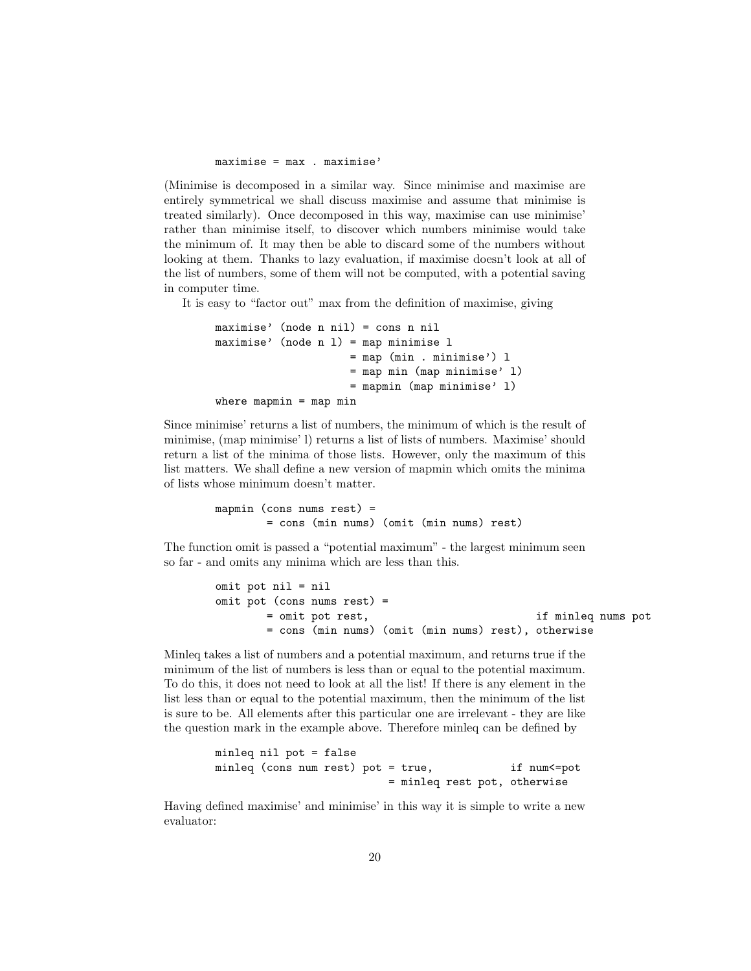maximise = max . maximise'

(Minimise is decomposed in a similar way. Since minimise and maximise are entirely symmetrical we shall discuss maximise and assume that minimise is treated similarly). Once decomposed in this way, maximise can use minimise' rather than minimise itself, to discover which numbers minimise would take the minimum of. It may then be able to discard some of the numbers without looking at them. Thanks to lazy evaluation, if maximise doesn't look at all of the list of numbers, some of them will not be computed, with a potential saving in computer time.

It is easy to "factor out" max from the definition of maximise, giving

```
maximise' (node n nil) = cons n nil
maximise' (node n l) = map minimise l
                     = map (min . minimise') l
                     = map min (map minimise' l)
                     = mapmin (map minimise' l)
where mapmin = map min
```
Since minimise' returns a list of numbers, the minimum of which is the result of minimise, (map minimise' l) returns a list of lists of numbers. Maximise' should return a list of the minima of those lists. However, only the maximum of this list matters. We shall define a new version of mapmin which omits the minima of lists whose minimum doesn't matter.

> mapmin (cons nums rest) = = cons (min nums) (omit (min nums) rest)

The function omit is passed a "potential maximum" - the largest minimum seen so far - and omits any minima which are less than this.

```
omit pot nil = nil
omit pot (cons nums rest) =
      = omit pot rest, if minleq nums pot
      = cons (min nums) (omit (min nums) rest), otherwise
```
Minleq takes a list of numbers and a potential maximum, and returns true if the minimum of the list of numbers is less than or equal to the potential maximum. To do this, it does not need to look at all the list! If there is any element in the list less than or equal to the potential maximum, then the minimum of the list is sure to be. All elements after this particular one are irrelevant - they are like the question mark in the example above. Therefore minleq can be defined by

```
minleq nil pot = false
minleq (cons num rest) pot = true, if num <= pot
                         = minleq rest pot, otherwise
```
Having defined maximise' and minimise' in this way it is simple to write a new evaluator: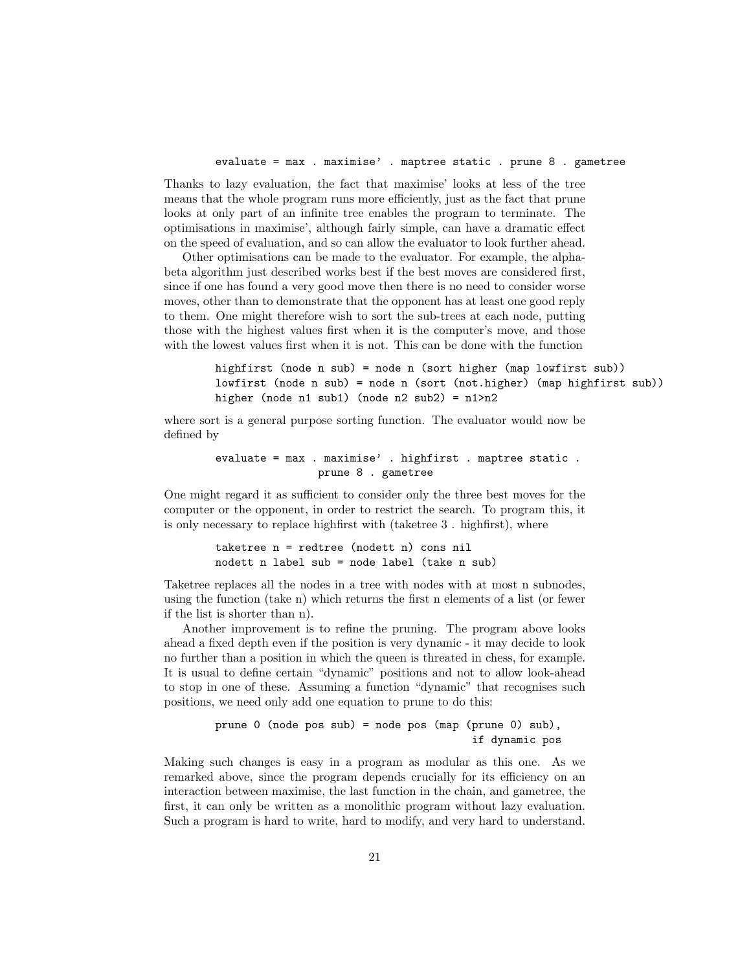Thanks to lazy evaluation, the fact that maximise' looks at less of the tree means that the whole program runs more efficiently, just as the fact that prune looks at only part of an infinite tree enables the program to terminate. The optimisations in maximise', although fairly simple, can have a dramatic effect on the speed of evaluation, and so can allow the evaluator to look further ahead.

Other optimisations can be made to the evaluator. For example, the alphabeta algorithm just described works best if the best moves are considered first, since if one has found a very good move then there is no need to consider worse moves, other than to demonstrate that the opponent has at least one good reply to them. One might therefore wish to sort the sub-trees at each node, putting those with the highest values first when it is the computer's move, and those with the lowest values first when it is not. This can be done with the function

```
highfirst (node n sub) = node n (sort higher (map lowfirst sub))
lowfirst (node n sub) = node n (sort (not.higher) (map highfirst sub))
higher (node n1 sub1) (node n2 sub2) = n1>n2
```
where sort is a general purpose sorting function. The evaluator would now be defined by

```
evaluate = max . maximise' . highfirst . maptree static .
                prune 8 . gametree
```
One might regard it as sufficient to consider only the three best moves for the computer or the opponent, in order to restrict the search. To program this, it is only necessary to replace highfirst with (taketree 3 . highfirst), where

```
taketree n = redtree (nodett n) cons nil
nodett n label sub = node label (take n sub)
```
Taketree replaces all the nodes in a tree with nodes with at most n subnodes, using the function (take n) which returns the first n elements of a list (or fewer if the list is shorter than n).

Another improvement is to refine the pruning. The program above looks ahead a fixed depth even if the position is very dynamic - it may decide to look no further than a position in which the queen is threated in chess, for example. It is usual to define certain "dynamic" positions and not to allow look-ahead to stop in one of these. Assuming a function "dynamic" that recognises such positions, we need only add one equation to prune to do this:

> prune 0 (node pos sub) = node pos (map (prune 0) sub), if dynamic pos

Making such changes is easy in a program as modular as this one. As we remarked above, since the program depends crucially for its efficiency on an interaction between maximise, the last function in the chain, and gametree, the first, it can only be written as a monolithic program without lazy evaluation. Such a program is hard to write, hard to modify, and very hard to understand.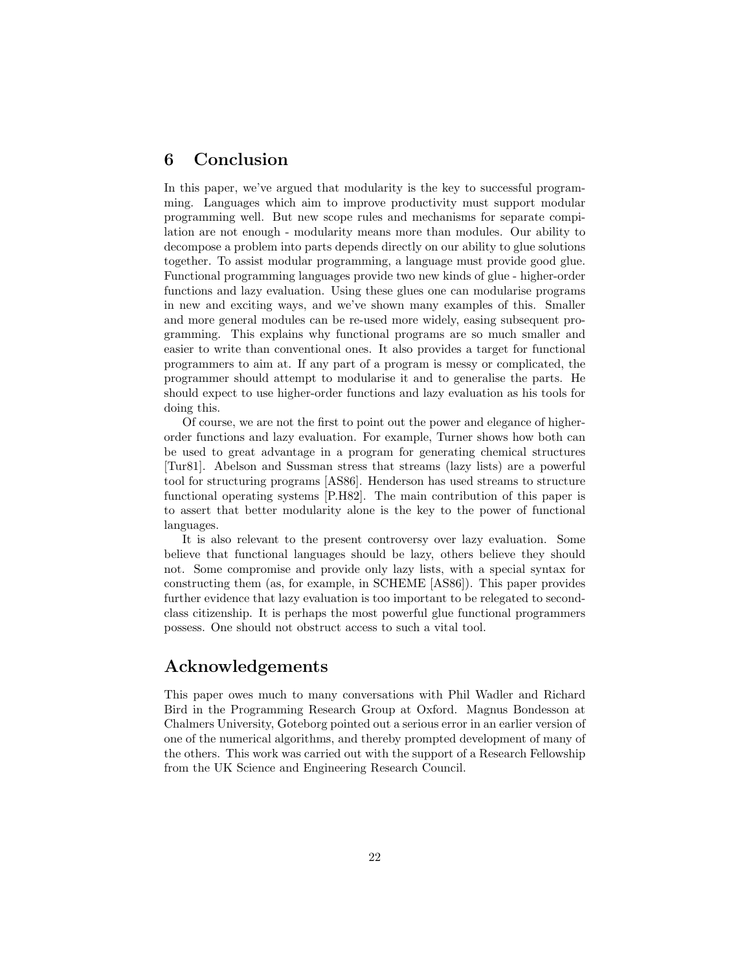## 6 Conclusion

In this paper, we've argued that modularity is the key to successful programming. Languages which aim to improve productivity must support modular programming well. But new scope rules and mechanisms for separate compilation are not enough - modularity means more than modules. Our ability to decompose a problem into parts depends directly on our ability to glue solutions together. To assist modular programming, a language must provide good glue. Functional programming languages provide two new kinds of glue - higher-order functions and lazy evaluation. Using these glues one can modularise programs in new and exciting ways, and we've shown many examples of this. Smaller and more general modules can be re-used more widely, easing subsequent programming. This explains why functional programs are so much smaller and easier to write than conventional ones. It also provides a target for functional programmers to aim at. If any part of a program is messy or complicated, the programmer should attempt to modularise it and to generalise the parts. He should expect to use higher-order functions and lazy evaluation as his tools for doing this.

Of course, we are not the first to point out the power and elegance of higherorder functions and lazy evaluation. For example, Turner shows how both can be used to great advantage in a program for generating chemical structures [Tur81]. Abelson and Sussman stress that streams (lazy lists) are a powerful tool for structuring programs [AS86]. Henderson has used streams to structure functional operating systems [P.H82]. The main contribution of this paper is to assert that better modularity alone is the key to the power of functional languages.

It is also relevant to the present controversy over lazy evaluation. Some believe that functional languages should be lazy, others believe they should not. Some compromise and provide only lazy lists, with a special syntax for constructing them (as, for example, in SCHEME [AS86]). This paper provides further evidence that lazy evaluation is too important to be relegated to secondclass citizenship. It is perhaps the most powerful glue functional programmers possess. One should not obstruct access to such a vital tool.

## Acknowledgements

This paper owes much to many conversations with Phil Wadler and Richard Bird in the Programming Research Group at Oxford. Magnus Bondesson at Chalmers University, Goteborg pointed out a serious error in an earlier version of one of the numerical algorithms, and thereby prompted development of many of the others. This work was carried out with the support of a Research Fellowship from the UK Science and Engineering Research Council.